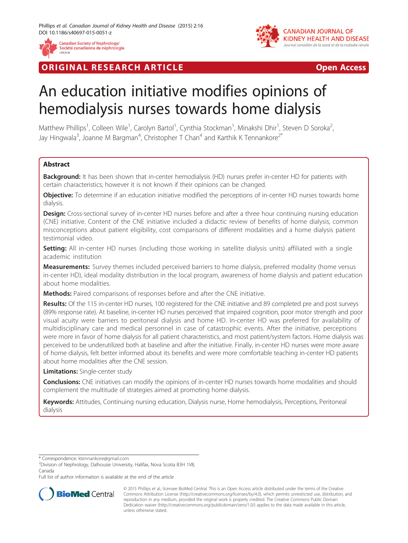

**RIGINAL RESEARCH ARTICLE CONSUMING ACCESS** 



# An education initiative modifies opinions of hemodialysis nurses towards home dialysis

Matthew Phillips<sup>1</sup>, Colleen Wile<sup>1</sup>, Carolyn Bartol<sup>1</sup>, Cynthia Stockman<sup>1</sup>, Minakshi Dhir<sup>1</sup>, Steven D Soroka<sup>2</sup> , Jay Hingwala<sup>3</sup>, Joanne M Bargman<sup>4</sup>, Christopher T Chan<sup>4</sup> and Karthik K Tennankore<sup>2\*</sup>

# **Abstract**

Background: It has been shown that in-center hemodialysis (HD) nurses prefer in-center HD for patients with certain characteristics; however it is not known if their opinions can be changed.

**Objective:** To determine if an education initiative modified the perceptions of in-center HD nurses towards home dialysis.

**Design:** Cross-sectional survey of in-center HD nurses before and after a three hour continuing nursing education (CNE) initiative. Content of the CNE initiative included a didactic review of benefits of home dialysis, common misconceptions about patient eligibility, cost comparisons of different modalities and a home dialysis patient testimonial video.

Setting: All in-center HD nurses (including those working in satellite dialysis units) affiliated with a single academic institution

**Measurements:** Survey themes included perceived barriers to home dialysis, preferred modality (home versus in-center HD), ideal modality distribution in the local program, awareness of home dialysis and patient education about home modalities.

Methods: Paired comparisons of responses before and after the CNE initiative.

Results: Of the 115 in-center HD nurses, 100 registered for the CNE initiative and 89 completed pre and post surveys (89% response rate). At baseline, in-center HD nurses perceived that impaired cognition, poor motor strength and poor visual acuity were barriers to peritoneal dialysis and home HD. In-center HD was preferred for availability of multidisciplinary care and medical personnel in case of catastrophic events. After the initiative, perceptions were more in favor of home dialysis for all patient characteristics, and most patient/system factors. Home dialysis was perceived to be underutilized both at baseline and after the initiative. Finally, in-center HD nurses were more aware of home dialysis, felt better informed about its benefits and were more comfortable teaching in-center HD patients about home modalities after the CNE session.

**Limitations:** Single-center study

Conclusions: CNE initiatives can modify the opinions of in-center HD nurses towards home modalities and should complement the multitude of strategies aimed at promoting home dialysis.

Keywords: Attitudes, Continuing nursing education, Dialysis nurse, Home hemodialysis, Perceptions, Peritoneal dialysis

\* Correspondence: [ktennankore@gmail.com](mailto:ktennankore@gmail.com) <sup>2</sup>

 $2$ Division of Nephrology, Dalhousie University, Halifax, Nova Scotia B3H 1V8, Canada

Full list of author information is available at the end of the article



© 2015 Phillips et al.; licensee BioMed Central. This is an Open Access article distributed under the terms of the Creative Commons Attribution License [\(http://creativecommons.org/licenses/by/4.0\)](http://creativecommons.org/licenses/by/4.0), which permits unrestricted use, distribution, and reproduction in any medium, provided the original work is properly credited. The Creative Commons Public Domain Dedication waiver [\(http://creativecommons.org/publicdomain/zero/1.0/](http://creativecommons.org/publicdomain/zero/1.0/)) applies to the data made available in this article, unless otherwise stated.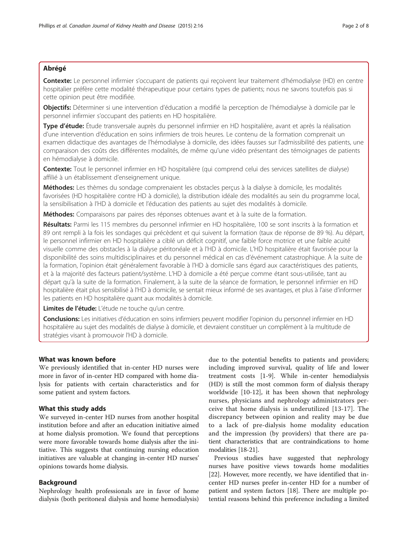# Abrégé

Contexte: Le personnel infirmier s'occupant de patients qui reçoivent leur traitement d'hémodialyse (HD) en centre hospitalier préfère cette modalité thérapeutique pour certains types de patients; nous ne savons toutefois pas si cette opinion peut être modifiée.

Objectifs: Déterminer si une intervention d'éducation a modifié la perception de l'hémodialyse à domicile par le personnel infirmier s'occupant des patients en HD hospitalière.

Type d'étude: Étude transversale auprès du personnel infirmier en HD hospitalière, avant et après la réalisation d'une intervention d'éducation en soins infirmiers de trois heures. Le contenu de la formation comprenait un examen didactique des avantages de l'hémodialyse à domicile, des idées fausses sur l'admissibilité des patients, une comparaison des coûts des différentes modalités, de même qu'une vidéo présentant des témoignages de patients en hémodialyse à domicile.

Contexte: Tout le personnel infirmier en HD hospitalière (qui comprend celui des services satellites de dialyse) affilié à un établissement d'enseignement unique.

Méthodes: Les thèmes du sondage comprenaient les obstacles perçus à la dialyse à domicile, les modalités favorisées (HD hospitalière contre HD à domicile), la distribution idéale des modalités au sein du programme local, la sensibilisation à l'HD à domicile et l'éducation des patients au sujet des modalités à domicile.

Méthodes: Comparaisons par paires des réponses obtenues avant et à la suite de la formation.

Résultats: Parmi les 115 membres du personnel infirmier en HD hospitalière, 100 se sont inscrits à la formation et 89 ont rempli à la fois les sondages qui précèdent et qui suivent la formation (taux de réponse de 89 %). Au départ, le personnel infirmier en HD hospitalière a ciblé un déficit cognitif, une faible force motrice et une faible acuité visuelle comme des obstacles à la dialyse péritonéale et à l'HD à domicile. L'HD hospitalière était favorisée pour la disponibilité des soins multidisciplinaires et du personnel médical en cas d'événement catastrophique. À la suite de la formation, l'opinion était généralement favorable à l'HD à domicile sans égard aux caractéristiques des patients, et à la majorité des facteurs patient/système. L'HD à domicile a été perçue comme étant sous-utilisée, tant au départ qu'à la suite de la formation. Finalement, à la suite de la séance de formation, le personnel infirmier en HD hospitalière était plus sensibilisé à l'HD à domicile, se sentait mieux informé de ses avantages, et plus à l'aise d'informer les patients en HD hospitalière quant aux modalités à domicile.

Limites de l'étude: L'étude ne touche qu'un centre.

Conclusions: Les initiatives d'éducation en soins infirmiers peuvent modifier l'opinion du personnel infirmier en HD hospitalière au sujet des modalités de dialyse à domicile, et devraient constituer un complément à la multitude de stratégies visant à promouvoir l'HD à domicile.

#### What was known before

We previously identified that in-center HD nurses were more in favor of in-center HD compared with home dialysis for patients with certain characteristics and for some patient and system factors.

# What this study adds

We surveyed in-center HD nurses from another hospital institution before and after an education initiative aimed at home dialysis promotion. We found that perceptions were more favorable towards home dialysis after the initiative. This suggests that continuing nursing education initiatives are valuable at changing in-center HD nurses' opinions towards home dialysis.

#### Background

Nephrology health professionals are in favor of home dialysis (both peritoneal dialysis and home hemodialysis)

due to the potential benefits to patients and providers; including improved survival, quality of life and lower treatment costs [\[1](#page-6-0)-[9\]](#page-6-0). While in-center hemodialysis (HD) is still the most common form of dialysis therapy worldwide [[10-12](#page-6-0)], it has been shown that nephrology nurses, physicians and nephrology administrators perceive that home dialysis is underutilized [\[13](#page-6-0)-[17](#page-6-0)]. The discrepancy between opinion and reality may be due to a lack of pre-dialysis home modality education and the impression (by providers) that there are patient characteristics that are contraindications to home modalities [[18](#page-6-0)-[21](#page-6-0)].

Previous studies have suggested that nephrology nurses have positive views towards home modalities [[22\]](#page-6-0). However, more recently, we have identified that incenter HD nurses prefer in-center HD for a number of patient and system factors [[18](#page-6-0)]. There are multiple potential reasons behind this preference including a limited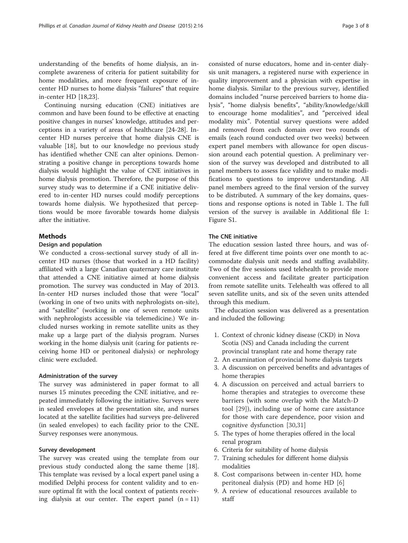understanding of the benefits of home dialysis, an incomplete awareness of criteria for patient suitability for home modalities, and more frequent exposure of incenter HD nurses to home dialysis "failures" that require in-center HD [\[18,23](#page-6-0)].

Continuing nursing education (CNE) initiatives are common and have been found to be effective at enacting positive changes in nurses' knowledge, attitudes and perceptions in a variety of areas of healthcare [[24](#page-7-0)-[28\]](#page-7-0). Incenter HD nurses perceive that home dialysis CNE is valuable [[18](#page-6-0)], but to our knowledge no previous study has identified whether CNE can alter opinions. Demonstrating a positive change in perceptions towards home dialysis would highlight the value of CNE initiatives in home dialysis promotion. Therefore, the purpose of this survey study was to determine if a CNE initiative delivered to in-center HD nurses could modify perceptions towards home dialysis. We hypothesized that perceptions would be more favorable towards home dialysis after the initiative.

### Methods

#### Design and population

We conducted a cross-sectional survey study of all incenter HD nurses (those that worked in a HD facility) affiliated with a large Canadian quaternary care institute that attended a CNE initiative aimed at home dialysis promotion. The survey was conducted in May of 2013. In-center HD nurses included those that were "local" (working in one of two units with nephrologists on-site), and "satellite" (working in one of seven remote units with nephrologists accessible via telemedicine.) We included nurses working in remote satellite units as they make up a large part of the dialysis program. Nurses working in the home dialysis unit (caring for patients receiving home HD or peritoneal dialysis) or nephrology clinic were excluded.

### Administration of the survey

The survey was administered in paper format to all nurses 15 minutes preceding the CNE initiative, and repeated immediately following the initiative. Surveys were in sealed envelopes at the presentation site, and nurses located at the satellite facilities had surveys pre-delivered (in sealed envelopes) to each facility prior to the CNE. Survey responses were anonymous.

#### Survey development

The survey was created using the template from our previous study conducted along the same theme [\[18](#page-6-0)]. This template was revised by a local expert panel using a modified Delphi process for content validity and to ensure optimal fit with the local context of patients receiving dialysis at our center. The expert panel  $(n = 11)$ 

consisted of nurse educators, home and in-center dialysis unit managers, a registered nurse with experience in quality improvement and a physician with expertise in home dialysis. Similar to the previous survey, identified domains included "nurse perceived barriers to home dialysis", "home dialysis benefits", "ability/knowledge/skill to encourage home modalities", and "perceived ideal modality mix". Potential survey questions were added and removed from each domain over two rounds of emails (each round conducted over two weeks) between expert panel members with allowance for open discussion around each potential question. A preliminary version of the survey was developed and distributed to all panel members to assess face validity and to make modifications to questions to improve understanding. All panel members agreed to the final version of the survey to be distributed. A summary of the key domains, questions and response options is noted in Table [1.](#page-3-0) The full version of the survey is available in Additional file [1](#page-6-0): Figure S1.

### The CNE initiative

The education session lasted three hours, and was offered at five different time points over one month to accommodate dialysis unit needs and staffing availability. Two of the five sessions used telehealth to provide more convenient access and facilitate greater participation from remote satellite units. Telehealth was offered to all seven satellite units, and six of the seven units attended through this medium.

The education session was delivered as a presentation and included the following:

- 1. Context of chronic kidney disease (CKD) in Nova Scotia (NS) and Canada including the current provincial transplant rate and home therapy rate
- 2. An examination of provincial home dialysis targets
- 3. A discussion on perceived benefits and advantages of home therapies
- 4. A discussion on perceived and actual barriers to home therapies and strategies to overcome these barriers (with some overlap with the Match-D tool [[29\]](#page-7-0)), including use of home care assistance for those with care dependence, poor vision and cognitive dysfunction [[30](#page-7-0),[31\]](#page-7-0)
- 5. The types of home therapies offered in the local renal program
- 6. Criteria for suitability of home dialysis
- 7. Training schedules for different home dialysis modalities
- 8. Cost comparisons between in-center HD, home peritoneal dialysis (PD) and home HD [[6](#page-6-0)]
- 9. A review of educational resources available to staff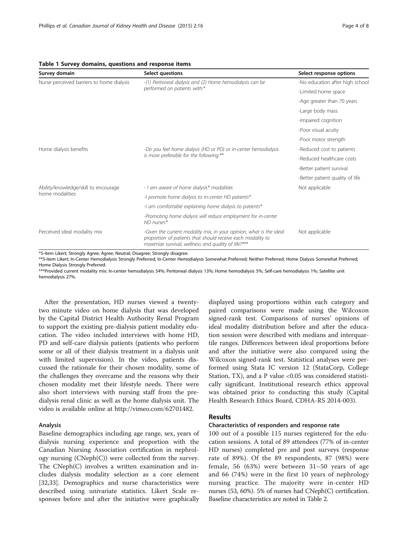| Survey domain                                           | Select questions                                                                                                                                                                          | Select response options         |  |
|---------------------------------------------------------|-------------------------------------------------------------------------------------------------------------------------------------------------------------------------------------------|---------------------------------|--|
| Nurse perceived barriers to home dialysis               | -(1) Peritoneal dialysis and (2) Home hemodialysis can be                                                                                                                                 | -No education after high school |  |
|                                                         | performed on patients with:*                                                                                                                                                              | -Limited home space             |  |
|                                                         |                                                                                                                                                                                           | -Age greater than 70 years      |  |
|                                                         |                                                                                                                                                                                           | -Large body mass                |  |
|                                                         |                                                                                                                                                                                           | -Impaired cognition             |  |
|                                                         |                                                                                                                                                                                           | -Poor visual acuity             |  |
|                                                         |                                                                                                                                                                                           | -Poor motor strength            |  |
| Home dialysis benefits                                  | -Do you feel home dialysis (HD or PD) or in-center hemodialysis<br>is more preferable for the following:**                                                                                | -Reduced cost to patients       |  |
|                                                         |                                                                                                                                                                                           | -Reduced healthcare costs       |  |
|                                                         |                                                                                                                                                                                           | -Better patient survival        |  |
|                                                         |                                                                                                                                                                                           | -Better patient quality of life |  |
| Ability/knowledge/skill to encourage<br>home modalities | - I am aware of home dialysis* modalities                                                                                                                                                 | Not applicable                  |  |
|                                                         | -I promote home dialysis to in-center HD patients*                                                                                                                                        |                                 |  |
|                                                         | -I am comfortable explaining home dialysis to patients*                                                                                                                                   |                                 |  |
|                                                         | -Promoting home dialysis will reduce employment for in-center<br>$HD$ nurses*                                                                                                             |                                 |  |
| Perceived ideal modality mix                            | -Given the current modality mix, in your opinion, what is the ideal<br>proportion of patients that should receive each modality to<br>maximize survival, wellness and quality of life?*** | Not applicable                  |  |

# <span id="page-3-0"></span>Table 1 Survey domains, questions and response items

\*5-item Likert; Strongly Agree; Agree; Neutral; Disagree; Strongly disagree.

\*\*5-item Likert; In-Center Hemodialysis Strongly Preferred; In-Center Hemodialysis Somewhat Preferred; Neither Preferred; Home Dialysis Somewhat Preferred; Home Dialysis Strongly Preferred.

\*\*\*Provided current modality mix: In-center hemodialysis 54%; Peritoneal dialysis 13%; Home hemodialysis 5%; Self-care hemodialysis 1%; Satellite unit hemodialysis 27%.

After the presentation, HD nurses viewed a twentytwo minute video on home dialysis that was developed by the Capital District Health Authority Renal Program to support the existing pre-dialysis patient modality education. The video included interviews with home HD, PD and self-care dialysis patients (patients who perform some or all of their dialysis treatment in a dialysis unit with limited supervision). In the video, patients discussed the rationale for their chosen modality, some of the challenges they overcame and the reasons why their chosen modality met their lifestyle needs. There were also short interviews with nursing staff from the predialysis renal clinic as well as the home dialysis unit. The video is available online at [http://vimeo.com/62701482.](http://vimeo.com/62701482)

#### Analysis

Baseline demographics including age range, sex, years of dialysis nursing experience and proportion with the Canadian Nursing Association certification in nephrology nursing (CNeph(C)) were collected from the survey. The CNeph(C) involves a written examination and includes dialysis modality selection as a core element [[32,33\]](#page-7-0). Demographics and nurse characteristics were described using univariate statistics. Likert Scale responses before and after the initiative were graphically displayed using proportions within each category and paired comparisons were made using the Wilcoxon signed-rank test. Comparisons of nurses' opinions of ideal modality distribution before and after the education session were described with medians and interquartile ranges. Differences between ideal proportions before and after the initiative were also compared using the Wilcoxon signed-rank test. Statistical analyses were performed using Stata IC version 12 (StataCorp, College Station, TX), and a P value <0.05 was considered statistically significant. Institutional research ethics approval was obtained prior to conducting this study (Capital Health Research Ethics Board, CDHA-RS 2014-003).

# Results

#### Characteristics of responders and response rate

100 out of a possible 115 nurses registered for the education sessions. A total of 89 attendees (77% of in-center HD nurses) completed pre and post surveys (response rate of 89%). Of the 89 respondents, 87 (98%) were female, 56 (63%) were between 31–50 years of age and 66 (74%) were in the first 10 years of nephrology nursing practice. The majority were in-center HD nurses (53, 60%). 5% of nurses had CNeph(C) certification. Baseline characteristics are noted in Table [2](#page-4-0).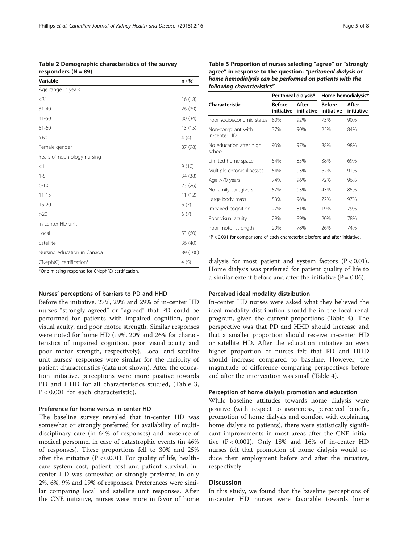\*One missing response for CNeph(C) certification.

# Nurses' perceptions of barriers to PD and HHD

Before the initiative, 27%, 29% and 29% of in-center HD nurses "strongly agreed" or "agreed" that PD could be performed for patients with impaired cognition, poor visual acuity, and poor motor strength. Similar responses were noted for home HD (19%, 20% and 26% for characteristics of impaired cognition, poor visual acuity and poor motor strength, respectively). Local and satellite unit nurses' responses were similar for the majority of patient characteristics (data not shown). After the education initiative, perceptions were more positive towards PD and HHD for all characteristics studied, (Table 3, P < 0.001 for each characteristic).

#### Preference for home versus in-center HD

The baseline survey revealed that in-center HD was somewhat or strongly preferred for availability of multidisciplinary care (in 64% of responses) and presence of medical personnel in case of catastrophic events (in 46% of responses). These proportions fell to 30% and 25% after the initiative ( $P < 0.001$ ). For quality of life, healthcare system cost, patient cost and patient survival, incenter HD was somewhat or strongly preferred in only 2%, 6%, 9% and 19% of responses. Preferences were similar comparing local and satellite unit responses. After the CNE initiative, nurses were more in favor of home Table 3 Proportion of nurses selecting "agree" or "strongly agree" in response to the question: "peritoneal dialysis or home hemodialysis can be performed on patients with the following characteristics"

|                                    | Peritoneal dialysis*        |                     | Home hemodialysis*   |                     |
|------------------------------------|-----------------------------|---------------------|----------------------|---------------------|
| Characteristic                     | <b>Before</b><br>initiative | After<br>initiative | Before<br>initiative | After<br>initiative |
| Poor socioeconomic status          | 80%                         | 92%                 | 73%                  | 90%                 |
| Non-compliant with<br>in-center HD | 37%                         | 90%                 | 25%                  | 84%                 |
| No education after high<br>school  | 93%                         | 97%                 | 88%                  | 98%                 |
| Limited home space                 | 54%                         | 85%                 | 38%                  | 69%                 |
| Multiple chronic illnesses         | 54%                         | 93%                 | 62%                  | 91%                 |
| Age >70 years                      | 74%                         | 96%                 | 72%                  | 96%                 |
| No family caregivers               | 57%                         | 93%                 | 43%                  | 85%                 |
| Large body mass                    | 53%                         | 96%                 | 72%                  | 97%                 |
| Impaired cognition                 | 27%                         | 81%                 | 19%                  | 79%                 |
| Poor visual acuity                 | 29%                         | 89%                 | 20%                  | 78%                 |
| Poor motor strength                | 29%                         | 78%                 | 26%                  | 74%                 |

\*P < 0.001 for comparisons of each characteristic before and after initiative.

dialysis for most patient and system factors  $(P < 0.01)$ . Home dialysis was preferred for patient quality of life to a similar extent before and after the initiative  $(P = 0.06)$ .

#### Perceived ideal modality distribution

In-center HD nurses were asked what they believed the ideal modality distribution should be in the local renal program, given the current proportions (Table [4\)](#page-5-0). The perspective was that PD and HHD should increase and that a smaller proportion should receive in-center HD or satellite HD. After the education initiative an even higher proportion of nurses felt that PD and HHD should increase compared to baseline. However, the magnitude of difference comparing perspectives before and after the intervention was small (Table [4\)](#page-5-0).

# Perception of home dialysis promotion and education

While baseline attitudes towards home dialysis were positive (with respect to awareness, perceived benefit, promotion of home dialysis and comfort with explaining home dialysis to patients), there were statistically significant improvements in most areas after the CNE initiative  $(P < 0.001)$ . Only 18% and 16% of in-center HD nurses felt that promotion of home dialysis would reduce their employment before and after the initiative, respectively.

#### Discussion

In this study, we found that the baseline perceptions of in-center HD nurses were favorable towards home

<span id="page-4-0"></span>Table 2 Demographic characteristics of the survey

responders  $(N = 89)$ 

| Variable                    | n (%)    |
|-----------------------------|----------|
| Age range in years          |          |
| $<$ 31                      | 16 (18)  |
| $31 - 40$                   | 26 (29)  |
| 41-50                       | 30(34)   |
| 51-60                       | 13 (15)  |
| >60                         | 4(4)     |
| Female gender               | 87 (98)  |
| Years of nephrology nursing |          |
| $<$ 1                       | 9(10)    |
| $1 - 5$                     | 34 (38)  |
| $6 - 10$                    | 23 (26)  |
| $11 - 15$                   | 11(12)   |
| $16 - 20$                   | 6(7)     |
| >20                         | 6(7)     |
| In-center HD unit           |          |
| Local                       | 53 (60)  |
| Satellite                   | 36(40)   |
| Nursing education in Canada | 89 (100) |
| CNeph(C) certification*     | 4(5)     |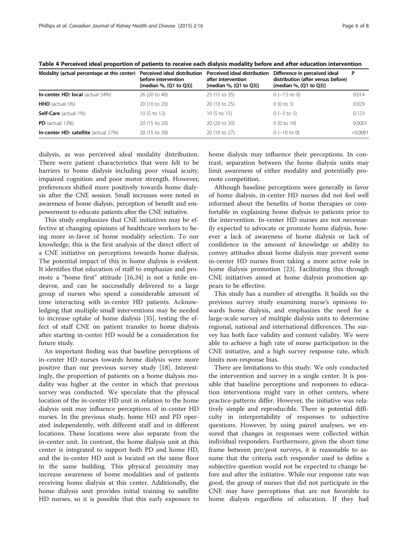| Modality (actual percentage at this center) | Perceived ideal distribution<br>before intervention<br>[median %, (Q1 to Q3)] | Perceived ideal distribution<br>after intervention<br>[median %, (Q1 to Q3)] | Difference in perceived ideal<br>distribution (after versus before)<br>[median %, (Q1 to Q3)] | P        |
|---------------------------------------------|-------------------------------------------------------------------------------|------------------------------------------------------------------------------|-----------------------------------------------------------------------------------------------|----------|
| <b>In-center HD: local</b> (actual 54%)     | 26 (20 to 40)                                                                 | 25 (15 to 35)                                                                | $0$ (-7.5 to 0)                                                                               | 0.014    |
| <b>HHD</b> (actual 5%)                      | 20 (10 to 20)                                                                 | 20 (10 to 25)                                                                | 0(0 to 5)                                                                                     | 0.029    |
| Self-Care (actual 1%)                       | 10 (5 to 12)                                                                  | 10 (5 to 15)                                                                 | $0$ (-3 to 5)                                                                                 | 0.123    |
| $PD$ (actual 13%)                           | 20 (15 to 20)                                                                 | 20 (20 to 30)                                                                | 0(0 to 10)                                                                                    | 0.0001   |
| <b>In-center HD: satellite</b> (actual 27%) | 20 (15 to 30)                                                                 | 20 (10 to 27)                                                                | $0$ (-10 to 0)                                                                                | < 0.0001 |

<span id="page-5-0"></span>Table 4 Perceived ideal proportion of patients to receive each dialysis modality before and after education intervention

dialysis, as was perceived ideal modality distribution. There were patient characteristics that were felt to be barriers to home dialysis including poor visual acuity, impaired cognition and poor motor strength. However, preferences shifted more positively towards home dialysis after the CNE session. Small increases were noted in awareness of home dialysis, perception of benefit and empowerment to educate patients after the CNE initiative.

This study emphasizes that CNE initiatives may be effective at changing opinions of healthcare workers to being more in-favor of home modality selection. To our knowledge, this is the first analysis of the direct effect of a CNE initiative on perceptions towards home dialysis. The potential impact of this in home dialysis is evident. It identifies that education of staff to emphasize and promote a "home first" attitude [[16,](#page-6-0)[34\]](#page-7-0) is not a futile endeavor, and can be successfully delivered to a large group of nurses who spend a considerable amount of time interacting with in-center HD patients. Acknowledging that multiple small interventions may be needed to increase uptake of home dialysis [[35\]](#page-7-0), testing the effect of staff CNE on patient transfer to home dialysis after starting in-center HD would be a consideration for future study.

An important finding was that baseline perceptions of in-center HD nurses towards home dialysis were more positive than our previous survey study [[18\]](#page-6-0). Interestingly, the proportion of patients on a home dialysis modality was higher at the center in which that previous survey was conducted. We speculate that the physical location of the in-center HD unit in relation to the home dialysis unit may influence perceptions of in-center HD nurses. In the previous study, home HD and PD operated independently, with different staff and in different locations. These locations were also separate from the in-center unit. In contrast, the home dialysis unit at this center is integrated to support both PD and home HD, and the in-center HD unit is located on the same floor in the same building. This physical proximity may increase awareness of home modalities and of patients receiving home dialysis at this center. Additionally, the home dialysis unit provides initial training to satellite HD nurses, so it is possible that this early exposure to

home dialysis may influence their perceptions. In contrast, separation between the home dialysis units may limit awareness of either modality and potentially promote competition.

Although baseline perceptions were generally in favor of home dialysis, in-center HD nurses did not feel well informed about the benefits of home therapies or comfortable in explaining home dialysis to patients prior to the intervention. In-center HD nurses are not necessarily expected to advocate or promote home dialysis, however a lack of awareness of home dialysis or lack of confidence in the amount of knowledge or ability to convey attitudes about home dialysis may prevent some in-center HD nurses from taking a more active role in home dialysis promotion [\[23](#page-6-0)]. Facilitating this through CNE initiatives aimed at home dialysis promotion appears to be effective.

This study has a number of strengths. It builds on the previous survey study examining nurse's opinions towards home dialysis, and emphasizes the need for a large-scale survey of multiple dialysis units to determine regional, national and international differences. The survey has both face validity and content validity. We were able to achieve a high rate of nurse participation in the CNE initiative, and a high survey response rate, which limits non-response bias.

There are limitations to this study. We only conducted the intervention and survey in a single center. It is possible that baseline perceptions and responses to education interventions might vary in other centers, where practice-patterns differ. However, the initiative was relatively simple and reproducible. There is potential difficulty in interpretability of responses to subjective questions. However, by using paired analyses, we ensured that changes in responses were collected within individual responders. Furthermore, given the short time frame between pre/post surveys, it is reasonable to assume that the criteria each responder used to define a subjective question would not be expected to change before and after the initiative. While our response rate was good, the group of nurses that did not participate in the CNE may have perceptions that are not favorable to home dialysis regardless of education. If they had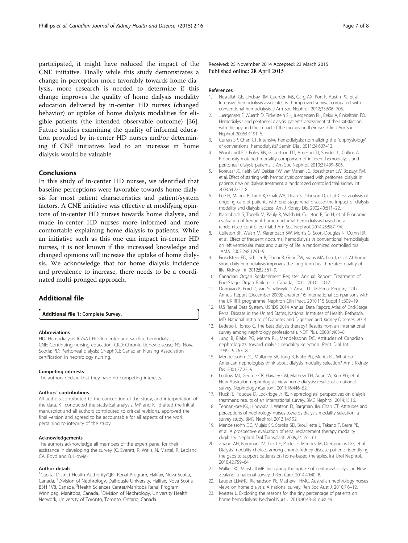<span id="page-6-0"></span>participated, it might have reduced the impact of the CNE initiative. Finally while this study demonstrates a change in perception more favorably towards home dialysis, more research is needed to determine if this change improves the quality of home dialysis modality education delivered by in-center HD nurses (changed behavior) or uptake of home dialysis modalities for eligible patients (the intended observable outcome) [\[36](#page-7-0)]. Future studies examining the quality of informal education provided by in-center HD nurses and/or determining if CNE initiatives lead to an increase in home dialysis would be valuable.

#### Conclusions

In this study of in-center HD nurses, we identified that baseline perceptions were favorable towards home dialysis for most patient characteristics and patient/system factors. A CNE initiative was effective at modifying opinions of in-center HD nurses towards home dialysis, and made in-center HD nurses more informed and more comfortable explaining home dialysis to patients. While an initiative such as this one can impact in-center HD nurses, it is not known if this increased knowledge and changed opinions will increase the uptake of home dialysis. We acknowledge that for home dialysis incidence and prevalence to increase, there needs to be a coordinated multi-pronged approach.

# Additional file

[Additional file 1:](http://www.cjkhd.org/content/supplementary/s40697-015-0051-z-s1.docx) Complete Survey.

#### Abbreviations

HD: Hemodialysis; IC/SAT HD: In-center and satellite hemodialysis; CNE: Continuing nursing education; CKD: Chronic kidney disease; NS: Nova Scotia; PD: Peritoneal dialysis; CNeph(C): Canadian Nursing Association certification in nephrology nursing.

#### Competing interests

The authors declare that they have no competing interests.

#### Authors' contributions

All authors contributed to the conception of the study, and interpretation of the data. KT conducted the statistical analysis. MP and KT drafted the initial manuscript and all authors contributed to critical revisions, approved the final version and agreed to be accountable for all aspects of the work pertaining to integrity of the study.

#### Acknowledgements

The authors acknowledge all members of the expert panel for their assistance in developing the survey (C. Everett, R. Wells, N. Martel, R. Leblanc, CA. Boyd and B. Howie).

#### Author details

<sup>1</sup>Capital District Health Authority/QEII Renal Program, Halifax, Nova Scotia, Canada. <sup>2</sup>Division of Nephrology, Dalhousie University, Halifax, Nova Scotia B3H 1V8, Canada. <sup>3</sup>Health Sciences Center/Manitoba Renal Program, Winnipeg, Manitoba, Canada. <sup>4</sup>Division of Nephrology, University Health Network, University of Toronto, Toronto, Ontario, Canada.

Received: 25 November 2014 Accepted: 23 March 2015 Published online: 28 April 2015

#### References

- 1. Nesrallah GE, Lindsay RM, Cuerden MS, Garg AX, Port F, Austin PC, et al. Intensive hemodialysis associates with improved survival compared with conventional hemodialysis. J Am Soc Nephrol. 2012;23:696–705.
- 2. Juergensen E, Wuerth D, Finkelstein SH, Juergensen PH, Bekui A, Finkelstein FO. Hemodialysis and peritoneal dialysis: patients' assessment of their satisfaction with therapy and the impact of the therapy on their lives. Clin J Am Soc Nephrol. 2006;1:1191–6.
- 3. Curran SP, Chan CT. Intensive hemodialysis: normalizing the "unphysiology" of conventional hemodialysis? Semin Dial. 2011;24:607–13.
- 4. Weinhandl ED, Foley RN, Gilbertson DT, Arneson TJ, Snyder JJ, Collins AJ. Propensity-matched mortality comparison of incident hemodialysis and peritoneal dialysis patients. J Am Soc Nephrol. 2010;21:499–506.
- 5. Korevaar JC, Feith GW, Dekker FW, van Manen JG, Boeschoten EW, Bossuyt PM, et al. Effect of starting with hemodialysis compared with peritoneal dialysis in patients new on dialysis treatment: a randomized controlled trial. Kidney Int. 2003;64:2222–8.
- 6. Lee H, Manns B, Taub K, Ghali WA, Dean S, Johnson D, et al. Cost analysis of ongoing care of patients with end-stage renal disease: the impact of dialysis modality and dialysis access. Am J Kidney Dis. 2002;40:611–22.
- 7. Klarenbach S, Tonelli M, Pauly R, Walsh M, Culleton B, So H, et al. Economic evaluation of frequent home nocturnal hemodialysis based on a randomized controlled trial. J Am Soc Nephrol. 2014;25:587–94.
- 8. Culleton BF, Walsh M, Klarenbach SW, Mortis G, Scott-Douglas N, Quinn RR, et al. Effect of frequent nocturnal hemodialysis vs conventional hemodialysis on left ventricular mass and quality of life: a randomized controlled trial. JAMA. 2007;298:1291–9.
- 9. Finkelstein FO, Schiller B, Daoui R, Gehr TW, Kraus MA, Lea J, et al. At-home short daily hemodialysis improves the long-term health-related quality of life. Kidney Int. 2012;82:561–9.
- 10. Canadian Organ Replacement Register Annual Report: Treatment of End-Stage Organ Failure in Canada, 2011–2010. 2012
- 11. Donovan K, Ford D, van Schalkwyk D, Ansell D. UK Renal Registry 12th Annual Report (December 2009): chapter 16: international comparisons with the UK RRT programme. Nephron Clin Pract. 2010;115 Suppl 1:c309–19.
- 12. U.S Renal Data System. USRDS 2014 Annual Data Report: Atlas of End-Stage Renal Disease in the United States, National Institutes of Health. Bethesda, MD: National Institute of Diabetes and Digestive and Kidney Diseases; 2014.
- 13. Ledebo I, Ronco C. The best dialysis therapy? Results from an international survey among nephrology professionals. NDT Plus. 2008;1:403–8.
- 14. Jung B, Blake PG, Mehta RL, Mendelssohn DC. Attitudes of Canadian nephrologists toward dialysis modality selection. Perit Dial Int. 1999;19:263–8.
- 15. Mendelssohn DC, Mullaney SR, Jung B, Blake PG, Mehta RL. What do American nephologists think about dialysis modality selection? Am J Kidney Dis. 2001;37:22–9.
- 16. Ludlow MJ, George CR, Hawley CM, Mathew TH, Agar JW, Kerr PG, et al. How Australian nephrologists view home dialysis: results of a national survey. Nephrology (Carlton). 2011;16:446–52.
- 17. Fluck RJ, Fouque D, Lockridge Jr RS. Nephrologists' perspectives on dialysis treatment: results of an international survey. BMC Nephrol. 2014;15:16.
- 18. Tennankore KK, Hingwala J, Watson D, Bargman JM, Chan CT. Attitudes and perceptions of nephrology nurses towards dialysis modality selection: a survey study. BMC Nephrol. 2013;14:192.
- 19. Mendelssohn DC, Mujais SK, Soroka SD, Brouillette J, Takano T, Barre PE, et al. A prospective evaluation of renal replacement therapy modality eligibility. Nephrol Dial Transplant. 2009;24:555–61.
- 20. Zhang AH, Bargman JM, Lok CE, Porter E, Mendez M, Oreopoulos DG, et al. Dialysis modality choices among chronic kidney disease patients: identifying the gaps to support patients on home-based therapies. Int Urol Nephrol. 2010;42:759–64.
- 21. Walker RC, Marshall MR. Increasing the uptake of peritoneal dialysis in New Zealand: a national survey. J Ren Care. 2014;40:40–8.
- 22. Lauder LLMHC, Richardson PE, Mathew THMC. Australian nephrology nurses views on home dialysis: A national survey. Ren Soc Aust J. 2010;7:6–12.
- 23. Koester L. Exploring the reasons for the tiny percentage of patients on home hemodialysis. Nephrol Nurs J. 2013;40:43–8. quiz 49.